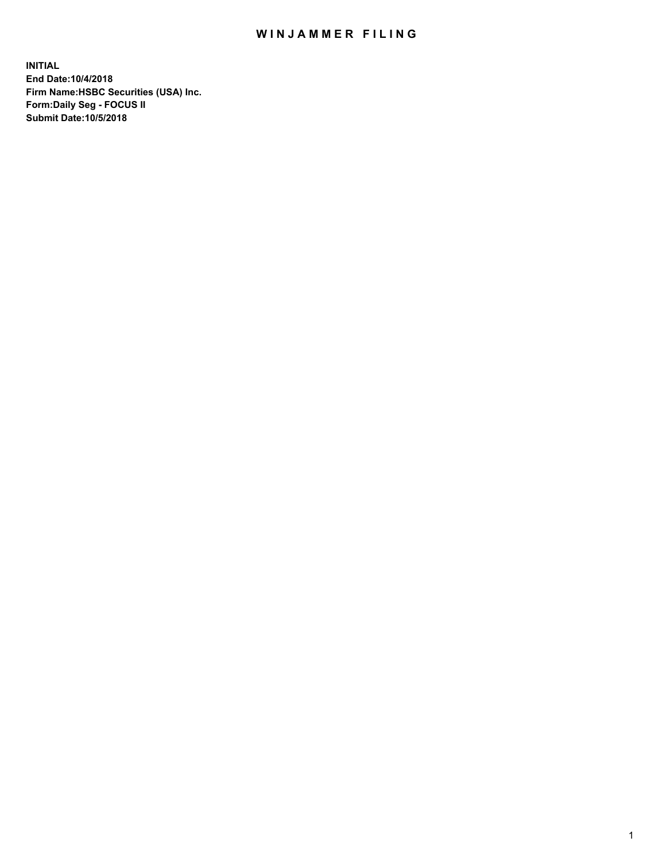## WIN JAMMER FILING

**INITIAL End Date:10/4/2018 Firm Name:HSBC Securities (USA) Inc. Form:Daily Seg - FOCUS II Submit Date:10/5/2018**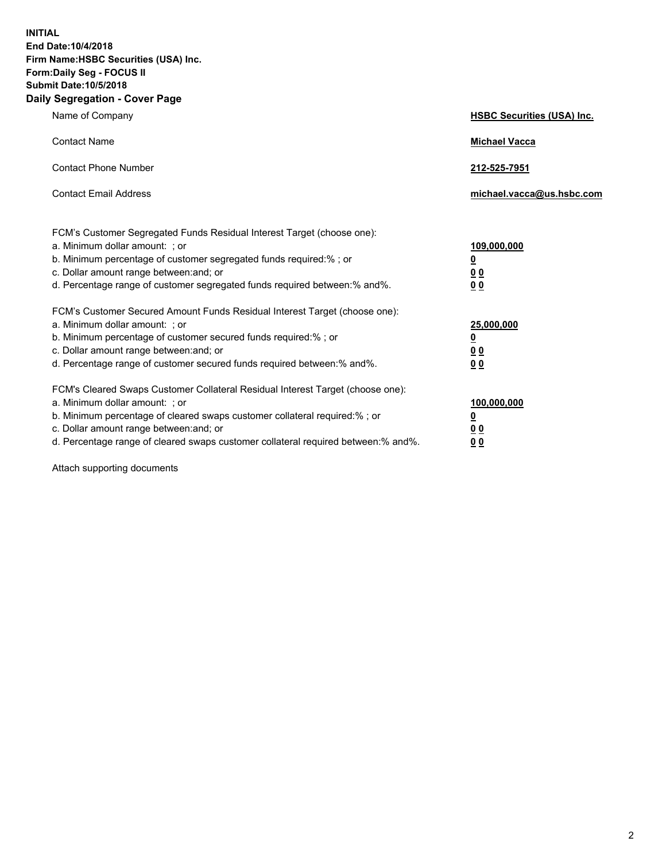**INITIAL End Date:10/4/2018 Firm Name:HSBC Securities (USA) Inc. Form:Daily Seg - FOCUS II Submit Date:10/5/2018 Daily Segregation - Cover Page**

| Name of Company                                                                                                                                                                                                                                                                                                                | <b>HSBC Securities (USA) Inc.</b>                                          |
|--------------------------------------------------------------------------------------------------------------------------------------------------------------------------------------------------------------------------------------------------------------------------------------------------------------------------------|----------------------------------------------------------------------------|
| <b>Contact Name</b>                                                                                                                                                                                                                                                                                                            | <b>Michael Vacca</b>                                                       |
| <b>Contact Phone Number</b>                                                                                                                                                                                                                                                                                                    | 212-525-7951                                                               |
| <b>Contact Email Address</b>                                                                                                                                                                                                                                                                                                   | michael.vacca@us.hsbc.com                                                  |
| FCM's Customer Segregated Funds Residual Interest Target (choose one):<br>a. Minimum dollar amount: : or<br>b. Minimum percentage of customer segregated funds required:% ; or<br>c. Dollar amount range between: and; or<br>d. Percentage range of customer segregated funds required between:% and%.                         | 109,000,000<br>$\overline{\mathbf{0}}$<br>0 <sub>0</sub><br>0 <sub>0</sub> |
| FCM's Customer Secured Amount Funds Residual Interest Target (choose one):<br>a. Minimum dollar amount: ; or<br>b. Minimum percentage of customer secured funds required:%; or<br>c. Dollar amount range between: and; or<br>d. Percentage range of customer secured funds required between:% and%.                            | 25,000,000<br>$\overline{\mathbf{0}}$<br>0 <sub>0</sub><br>0 <sub>0</sub>  |
| FCM's Cleared Swaps Customer Collateral Residual Interest Target (choose one):<br>a. Minimum dollar amount: ; or<br>b. Minimum percentage of cleared swaps customer collateral required:% ; or<br>c. Dollar amount range between: and; or<br>d. Percentage range of cleared swaps customer collateral required between:% and%. | 100,000,000<br>$\overline{\mathbf{0}}$<br>0 <sub>0</sub><br>0 <sub>0</sub> |

Attach supporting documents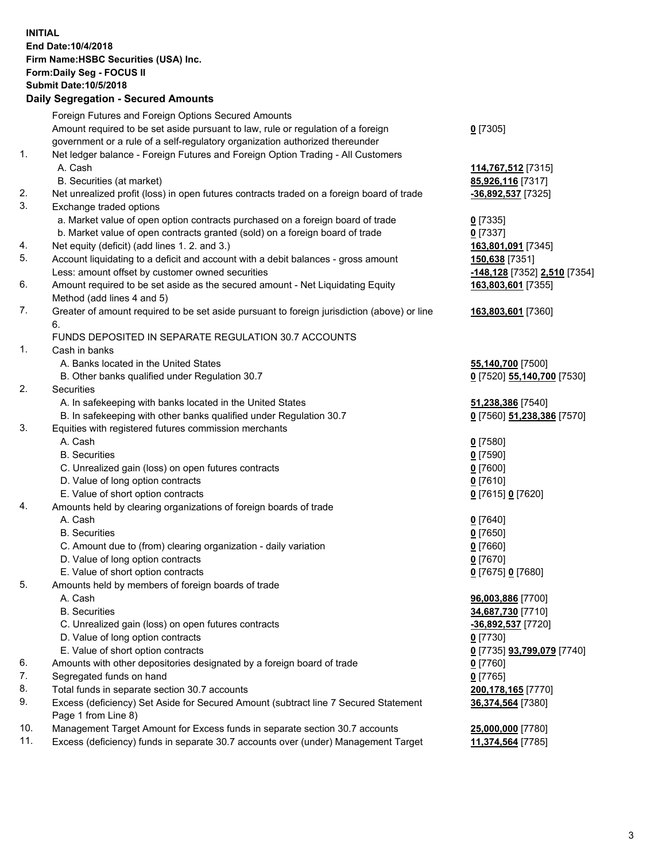**INITIAL End Date:10/4/2018 Firm Name:HSBC Securities (USA) Inc. Form:Daily Seg - FOCUS II Submit Date:10/5/2018 Daily Segregation - Secured Amounts** Foreign Futures and Foreign Options Secured Amounts Amount required to be set aside pursuant to law, rule or regulation of a foreign government or a rule of a self-regulatory organization authorized thereunder 1. Net ledger balance - Foreign Futures and Foreign Option Trading - All Customers A. Cash **114,767,512** [7315] B. Securities (at market) **85,926,116** [7317] 2. Net unrealized profit (loss) in open futures contracts traded on a foreign board of trade **-36,892,537** [7325] 3. Exchange traded options a. Market value of open option contracts purchased on a foreign board of trade **0** [7335] b. Market value of open contracts granted (sold) on a foreign board of trade **0** [7337] 4. Net equity (deficit) (add lines 1. 2. and 3.) **163,801,091** [7345] 5. Account liquidating to a deficit and account with a debit balances - gross amount **150,638** [7351] Less: amount offset by customer owned securities **-148,128** [7352] **2,510** [7354] 6. Amount required to be set aside as the secured amount - Net Liquidating Equity Method (add lines 4 and 5) 7. Greater of amount required to be set aside pursuant to foreign jurisdiction (above) or line 6. FUNDS DEPOSITED IN SEPARATE REGULATION 30.7 ACCOUNTS 1. Cash in banks A. Banks located in the United States **55,140,700** [7500] B. Other banks qualified under Regulation 30.7 **0** [7520] **55,140,700** [7530] 2. Securities A. In safekeeping with banks located in the United States **51,238,386** [7540] B. In safekeeping with other banks qualified under Regulation 30.7 **0** [7560] **51,238,386** [7570] 3. Equities with registered futures commission merchants A. Cash **0** [7580] B. Securities **0** [7590] C. Unrealized gain (loss) on open futures contracts **0** [7600] D. Value of long option contracts **0** [7610] E. Value of short option contracts **0** [7615] **0** [7620]

- 4. Amounts held by clearing organizations of foreign boards of trade
	- A. Cash **0** [7640] B. Securities **0** [7650] C. Amount due to (from) clearing organization - daily variation **0** [7660] D. Value of long option contracts **0** [7670]
		- E. Value of short option contracts **0** [7675] **0** [7680]
- 5. Amounts held by members of foreign boards of trade
	-
	-
	- C. Unrealized gain (loss) on open futures contracts **-36,892,537** [7720]
	- D. Value of long option contracts **0** [7730]
	- E. Value of short option contracts **0** [7735] **93,799,079** [7740]
- 6. Amounts with other depositories designated by a foreign board of trade **0** [7760]
- 7. Segregated funds on hand **0** [7765]
- 8. Total funds in separate section 30.7 accounts **200,178,165** [7770]
- 9. Excess (deficiency) Set Aside for Secured Amount (subtract line 7 Secured Statement Page 1 from Line 8)
- 10. Management Target Amount for Excess funds in separate section 30.7 accounts **25,000,000** [7780]
- 11. Excess (deficiency) funds in separate 30.7 accounts over (under) Management Target **11,374,564** [7785]

**163,803,601** [7355] **163,803,601** [7360] A. Cash **96,003,886** [7700] B. Securities **34,687,730** [7710]

**36,374,564** [7380]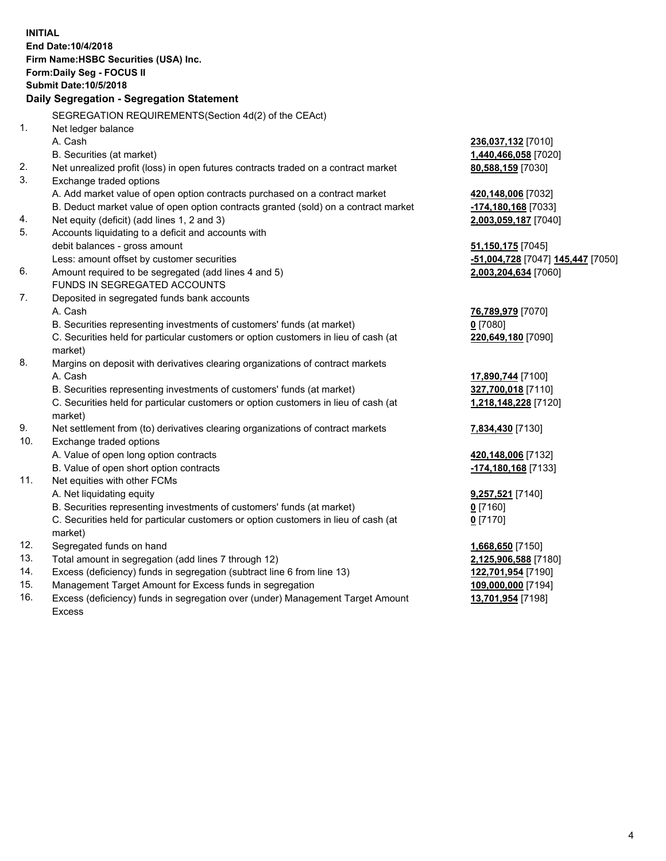**INITIAL End Date:10/4/2018 Firm Name:HSBC Securities (USA) Inc. Form:Daily Seg - FOCUS II Submit Date:10/5/2018 Daily Segregation - Segregation Statement** SEGREGATION REQUIREMENTS(Section 4d(2) of the CEAct) 1. Net ledger balance A. Cash **236,037,132** [7010] B. Securities (at market) **1,440,466,058** [7020] 2. Net unrealized profit (loss) in open futures contracts traded on a contract market **80,588,159** [7030] 3. Exchange traded options A. Add market value of open option contracts purchased on a contract market **420,148,006** [7032] B. Deduct market value of open option contracts granted (sold) on a contract market **-174,180,168** [7033] 4. Net equity (deficit) (add lines 1, 2 and 3) **2,003,059,187** [7040] 5. Accounts liquidating to a deficit and accounts with debit balances - gross amount **51,150,175** [7045] Less: amount offset by customer securities **-51,004,728** [7047] **145,447** [7050] 6. Amount required to be segregated (add lines 4 and 5) **2,003,204,634** [7060] FUNDS IN SEGREGATED ACCOUNTS 7. Deposited in segregated funds bank accounts A. Cash **76,789,979** [7070] B. Securities representing investments of customers' funds (at market) **0** [7080] C. Securities held for particular customers or option customers in lieu of cash (at market) **220,649,180** [7090] 8. Margins on deposit with derivatives clearing organizations of contract markets A. Cash **17,890,744** [7100] B. Securities representing investments of customers' funds (at market) **327,700,018** [7110] C. Securities held for particular customers or option customers in lieu of cash (at market) **1,218,148,228** [7120] 9. Net settlement from (to) derivatives clearing organizations of contract markets **7,834,430** [7130] 10. Exchange traded options A. Value of open long option contracts **420,148,006** [7132] B. Value of open short option contracts **-174,180,168** [7133] 11. Net equities with other FCMs A. Net liquidating equity **9,257,521** [7140] B. Securities representing investments of customers' funds (at market) **0** [7160] C. Securities held for particular customers or option customers in lieu of cash (at market) **0** [7170] 12. Segregated funds on hand **1,668,650** [7150] 13. Total amount in segregation (add lines 7 through 12) **2,125,906,588** [7180] 14. Excess (deficiency) funds in segregation (subtract line 6 from line 13) **122,701,954** [7190] 15. Management Target Amount for Excess funds in segregation **109,000,000** [7194] 16. Excess (deficiency) funds in segregation over (under) Management Target Amount **13,701,954** [7198]

Excess